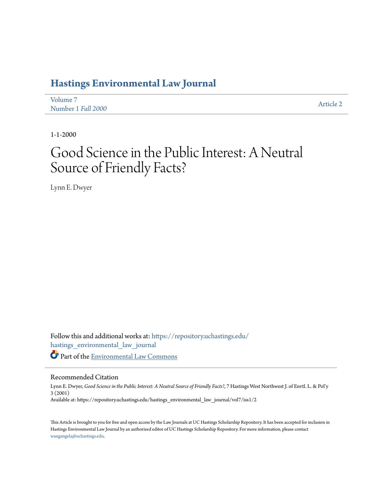## **[Hastings Environmental Law Journal](https://repository.uchastings.edu/hastings_environmental_law_journal?utm_source=repository.uchastings.edu%2Fhastings_environmental_law_journal%2Fvol7%2Fiss1%2F2&utm_medium=PDF&utm_campaign=PDFCoverPages)**

| Volume 7           | Article 2 |
|--------------------|-----------|
| Number 1 Fall 2000 |           |

1-1-2000

# Good Science in the Public Interest: A Neutral Source of Friendly Facts?

Lynn E. Dwyer

Follow this and additional works at: [https://repository.uchastings.edu/](https://repository.uchastings.edu/hastings_environmental_law_journal?utm_source=repository.uchastings.edu%2Fhastings_environmental_law_journal%2Fvol7%2Fiss1%2F2&utm_medium=PDF&utm_campaign=PDFCoverPages) [hastings\\_environmental\\_law\\_journal](https://repository.uchastings.edu/hastings_environmental_law_journal?utm_source=repository.uchastings.edu%2Fhastings_environmental_law_journal%2Fvol7%2Fiss1%2F2&utm_medium=PDF&utm_campaign=PDFCoverPages) Part of the [Environmental Law Commons](http://network.bepress.com/hgg/discipline/599?utm_source=repository.uchastings.edu%2Fhastings_environmental_law_journal%2Fvol7%2Fiss1%2F2&utm_medium=PDF&utm_campaign=PDFCoverPages)

#### Recommended Citation

Lynn E. Dwyer, *Good Science in the Public Interest: A Neutral Source of Friendly Facts?*, 7 Hastings West Northwest J. of Envtl. L. & Pol'y 3 (2001) Available at: https://repository.uchastings.edu/hastings\_environmental\_law\_journal/vol7/iss1/2

This Article is brought to you for free and open access by the Law Journals at UC Hastings Scholarship Repository. It has been accepted for inclusion in Hastings Environmental Law Journal by an authorized editor of UC Hastings Scholarship Repository. For more information, please contact [wangangela@uchastings.edu](mailto:wangangela@uchastings.edu).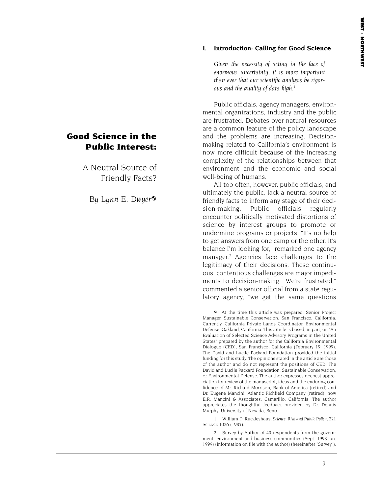#### **I. Introduction: Calling for Good Science**

*Given the necessity of acting in the face of enormous uncertainty, it is more important than ever that our scientific analysis be rigorous and the quality of data high*. 1

Public officials, agency managers, environmental organizations, industry and the public are frustrated. Debates over natural resources are a common feature of the policy landscape and the problems are increasing. Decisionmaking related to California's environment is now more difficult because of the increasing complexity of the relationships between that environment and the economic and social well-being of humans.

All too often, however, public officials, and ultimately the public, lack a neutral source of friendly facts to inform any stage of their decision-making. Public officials regularly encounter politically motivated distortions of science by interest groups to promote or undermine programs or projects. "It's no help to get answers from one camp or the other. It's balance I'm looking for," remarked one agency manager.2 Agencies face challenges to the legitimacy of their decisions. These continuous, contentious challenges are major impediments to decision-making. "We're frustrated," commented a senior official from a state regulatory agency, "we get the same questions

 At the time this article was prepared, Senior Project Manager, Sustainable Conservation, San Francisco, California. Currently, California Private Lands Coordinator, Environmental Defense, Oakland, California. This article is based, in part, on "An Evaluation of Selected Science Advisory Programs in the United States" prepared by the author for the California Environmental Dialogue (CED), San Francisco, California (February 19, 1999). The David and Lucile Packard Foundation provided the initial funding for this study. The opinions stated in the article are those of the author and do not represent the positions of CED, The David and Lucile Packard Foundation, Sustainable Conservation, or Environmental Defense. The author expresses deepest appreciation for review of the manuscript, ideas and the enduring confidence of Mr. Richard Morrison, Bank of America (retired) and Dr. Eugene Mancini, Atlantic Richfield Company (retired), now E.R. Mancini & Associates, Camarillo, California. The author appreciates the thoughtful feedback provided by Dr. Dennis Murphy, University of Nevada, Reno.

1. William D. Ruckleshaus, *Science, Risk and Public Policy*, 221 SCIENCE 1026 (1983).

2. Survey by Author of 40 respondents from the government, environment and business communities (Sept. 1998-Jan. 1999) (information on file with the author) (hereinafter "Survey").

### **Good Science in the Public Interest:**

A Neutral Source of Friendly Facts?

*By Lynn E. Dwyer*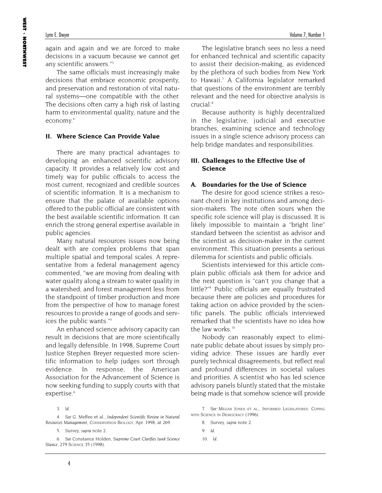again and again and we are forced to make decisions in a vacuum because we cannot get any scientific answers."3

The same officials must increasingly make decisions that embrace economic prosperity, and preservation and restoration of vital natural systems—one compatible with the other. The decisions often carry a high risk of lasting harm to environmental quality, nature and the economy.4

#### **II. Where Science Can Provide Value**

There are many practical advantages to developing an enhanced scientific advisory capacity. It provides a relatively low cost and timely way for public officials to access the most current, recognized and credible sources of scientific information. It is a mechanism to ensure that the palate of available options offered to the public official are consistent with the best available scientific information. It can enrich the strong general expertise available in public agencies.

Many natural resources issues now being dealt with are complex problems that span multiple spatial and temporal scales. A representative from a federal management agency commented, "we are moving from dealing with water quality along a stream to water quality in a watershed; and forest management less from the standpoint of timber production and more from the perspective of how to manage forest resources to provide a range of goods and services the public wants."5

An enhanced science advisory capacity can result in decisions that are more scientifically and legally defensible. In 1998, Supreme Court Justice Stephen Breyer requested more scientific information to help judges sort through evidence. In response, the American Association for the Advancement of Science is now seeking funding to supply courts with that expertise.<sup>6</sup>

5. Survey, *supra* note 2.

The legislative branch sees no less a need for enhanced technical and scientific capacity to assist their decision-making, as evidenced by the plethora of such bodies from New York to Hawaii.7 A California legislator remarked that questions of the environment are terribly relevant and the need for objective analysis is crucial<sup>8</sup>

Because authority is highly decentralized in the legislative, judicial and executive branches, examining science and technology issues in a single science advisory process can help bridge mandates and responsibilities.

#### **III. Challenges to the Effective Use of Science**

#### **A. Boundaries for the Use of Science**

The desire for good science strikes a resonant chord in key institutions and among decision-makers. The note often sours when the specific role science will play is discussed. It is likely impossible to maintain a "bright line" standard between the scientist as advisor and the scientist as decision-maker in the current environment. This situation presents a serious dilemma for scientists and public officials.

Scientists interviewed for this article complain public officials ask them for advice and the next question is "can't you change that a little?"9 Public officials are equally frustrated because there are policies and procedures for taking action on advice provided by the scientific panels. The public officials interviewed remarked that the scientists have no idea how the law works.<sup>10</sup>

Nobody can reasonably expect to eliminate public debate about issues by simply providing advice. These issues are hardly ever purely technical disagreements, but reflect real and profound differences in societal values and priorities. A scientist who has led science advisory panels bluntly stated that the mistake being made is that somehow science will provide

<sup>3.</sup> *Id*.

<sup>4.</sup> *See* G. Meffee et al., *Independent Scientific Review in Natural Resources Management,* CONSERVATION BIOLOGY, Apr. 1998, at 269.

<sup>6.</sup> *See* Constance Holden, *Supreme Court Clarifies Junk Science* Stance, 279 SCIENCE 35 (1998).

<sup>7.</sup> *See* MEGAN JONES ET AL., INFORMED LEGISLATURES: COPING WITH SCIENCE IN DEMOCRACY (1996).

<sup>8.</sup> Survey, *supra* note 2.

<sup>9.</sup> *Id*.

<sup>10.</sup> *Id*.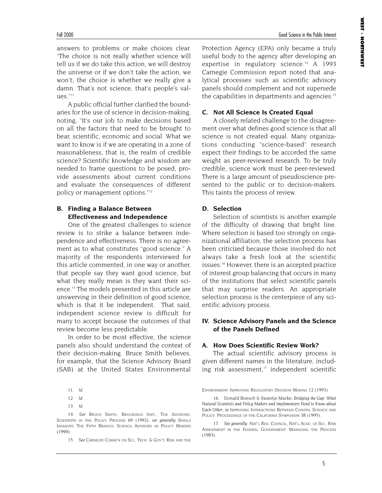answers to problems or make choices clear. "The choice is not really whether science will tell us if we do take this action, we will destroy the universe or if we don't take the action, we won't; the choice is whether we really give a damn. That's not science, that's people's values."11

A public official further clarified the boundaries for the use of science in decision-making, noting, "It's our job to make decisions based on all the factors that need to be brought to bear, scientific, economic and social. What we want to know is if we are operating in a zone of reasonableness, that is, the realm of credible science? Scientific knowledge and wisdom are needed to frame questions to be posed, provide assessments about current conditions and evaluate the consequences of different policy or management options."12

#### **B. Finding a Balance Between Effectiveness and Independence**

One of the greatest challenges to science review is to strike a balance between independence and effectiveness. There is no agreement as to what constitutes "good science." A majority of the respondents interviewed for this article commented, in one way or another, that people say they want good science, but what they really mean is they want their science.13 The models presented in this article are unswerving in their definition of good science, which is that it be independent. That said, independent science review is difficult for many to accept because the outcomes of that review become less predictable.

In order to be most effective, the science panels also should understand the context of their decision-making. Bruce Smith believes, for example, that the Science Advisory Board (SAB) at the United States Environmental

14. *See* BRUCE SMITH, BROOKINGS INST., THE ADVISORS: SCIENTISTS IN THE POLICY PROCESS 69 (1992); see generally SHEILA JASANOFF, THE FIFTH BRANCH: SCIENCE ADVISORS AS POLICY MAKERS (1990).

15. *See* CARNEGIE COMM'N ON SCI., TECH. & GOV'T, RISK AND THE

Protection Agency (EPA) only became a truly useful body to the agency after developing an expertise in regulatory science.<sup>14</sup> A 1993 Carnegie Commission report noted that analytical processes such as scientific advisory panels should complement and not supersede the capabilities in departments and agencies.<sup>15</sup>

#### **C. Not All Science Is Created Equal**

A closely related challenge to the disagreement over what defines good science is that all science is not created equal. Many organizations conducting "science-based" research expect their findings to be accorded the same weight as peer-reviewed research. To be truly credible, science work must be peer-reviewed. There is a large amount of pseudoscience presented to the public or to decision-makers. This taints the process of review.

#### **D. Selection**

Selection of scientists is another example of the difficulty of drawing that bright line. Where selection is based too strongly on organizational affiliation, the selection process has been criticized because those involved do not always take a fresh look at the scientific issues.16 However, there is an accepted practice of interest group balancing that occurs in many of the institutions that select scientific panels that may surprise readers. An appropriate selection process is the centerpiece of any scientific advisory process.

#### **IV. Science Advisory Panels and the Science of the Panels Defined**

#### **A. How Does Scientific Review Work?**

The actual scientific advisory process is given different names in the literature, including risk assessment, $17$  independent scientific

ENVIRONMENT: IMPROVING REGULATORY DECISION MAKING 12 (1993).

16. Donald Boesch & Swantje Macke, *Bridging the Gap: What Natural Scientists and Policy Makers and Implementers Need to Know about Each Other*, *in* IMPROVING INTERACTIONS BETWEEN COASTAL SCIENCE AND POLICY: PROCEEDINGS OF THE CALIFORNIA SYMPOSIUM 38 (1995).

17. *See generally* NAT'L RES. COUNCIL, NAT'L ACAD. OF SCI., RISK ASSESSMENT IN THE FEDERAL GOVERNMENT: MANAGING THE PROCESS (1983).

<sup>11.</sup> *Id*.

<sup>12.</sup> *Id*.

<sup>13.</sup> *Id*.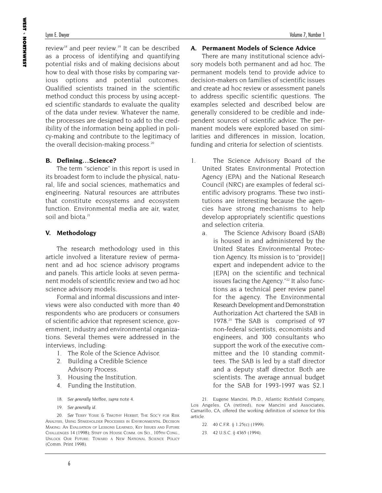review<sup>18</sup> and peer review.<sup>19</sup> It can be described as a process of identifying and quantifying potential risks and of making decisions about how to deal with those risks by comparing various options and potential outcomes. Qualified scientists trained in the scientific method conduct this process by using accepted scientific standards to evaluate the quality of the data under review. Whatever the name, the processes are designed to add to the credibility of the information being applied in policy-making and contribute to the legitimacy of the overall decision-making process.<sup>20</sup>

#### **B. Defining…Science?**

The term "science" in this report is used in its broadest form to include the physical, natural, life and social sciences, mathematics and engineering. Natural resources are attributes that constitute ecosystems and ecosystem function. Environmental media are air, water, soil and biota.<sup>21</sup>

#### **V. Methodology**

The research methodology used in this article involved a literature review of permanent and ad hoc science advisory programs and panels. This article looks at seven permanent models of scientific review and two ad hoc science advisory models.

Formal and informal discussions and interviews were also conducted with more than 40 respondents who are producers or consumers of scientific advice that represent science, government, industry and environmental organizations. Several themes were addressed in the interviews, including:

- 1. The Role of the Science Advisor.
- 2. Building a Credible Science Advisory Process.
- 3. Housing the Institution.
- 4. Funding the Institution.
- 18. *See generally* Meffee, *supra* note 4.
- 19. *See generally id*.

20. *See* TERRY YOSIE & TIMOTHY HERBST, THE SOC'Y FOR RISK ANALYSIS, USING STAKEHOLDER PROCESSES IN ENVIRONMENTAL DECISION MAKING: AN EVALUATION OF LESSONS LEARNED, KEY ISSUES AND FUTURE CHALLENGES 14 (1998); STAFF ON HOUSE COMM. ON SCI., 105TH CONG., UNLOCK OUR FUTURE: TOWARD A NEW NATIONAL SCIENCE POLICY (Comm. Print 1998).

#### **A. Permanent Models of Science Advice**

There are many institutional science advisory models both permanent and ad hoc. The permanent models tend to provide advice to decision-makers on families of scientific issues and create ad hoc review or assessment panels to address specific scientific questions. The examples selected and described below are generally considered to be credible and independent sources of scientific advice. The permanent models were explored based on similarities and differences in mission, location, funding and criteria for selection of scientists.

- 1. The Science Advisory Board of the United States Environmental Protection Agency (EPA) and the National Research Council (NRC) are examples of federal scientific advisory programs. These two institutions are interesting because the agencies have strong mechanisms to help develop appropriately scientific questions and selection criteria.
	- a. The Science Advisory Board (SAB) is housed in and administered by the United States Environmental Protection Agency. Its mission is to "provide[] expert and independent advice to the [EPA] on the scientific and technical issues facing the Agency."<sup>22</sup> It also functions as a technical peer review panel for the agency. The Environmental Research Development and Demonstration Authorization Act chartered the SAB in 1978.23 The SAB is comprised of 97 non-federal scientists, economists and engineers, and 300 consultants who support the work of the executive committee and the 10 standing committees. The SAB is led by a staff director and a deputy staff director. Both are scientists. The average annual budget for the SAB for 1993-1997 was \$2.1

21. Eugene Mancini, Ph.D., Atlantic Richfield Company, Los Angeles, CA (retired), now Mancini and Associates, Camarillo, CA, offered the working definition of science for this article.

- 22. 40 C.F.R. § 1.25(c) (1999).
- 23. 42 U.S.C. § 4365 (1994).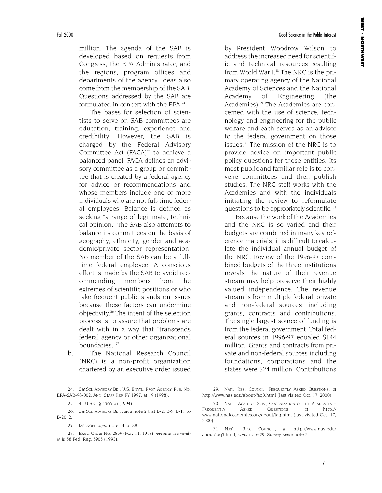million. The agenda of the SAB is developed based on requests from Congress, the EPA Administrator, and the regions, program offices and departments of the agency. Ideas also come from the membership of the SAB. Questions addressed by the SAB are formulated in concert with the EPA  $24$ 

The bases for selection of scientists to serve on SAB committees are education, training, experience and credibility. However, the SAB is charged by the Federal Advisory Committee Act  $(FACA)^{25}$  to achieve a balanced panel. FACA defines an advisory committee as a group or committee that is created by a federal agency for advice or recommendations and whose members include one or more individuals who are not full-time federal employees. Balance is defined as seeking "a range of legitimate, technical opinion." The SAB also attempts to balance its committees on the basis of geography, ethnicity, gender and academic/private sector representation. No member of the SAB can be a fulltime federal employee. A conscious effort is made by the SAB to avoid recommending members from the extremes of scientific positions or who take frequent public stands on issues because these factors can undermine objectivity.26 The intent of the selection process is to assure that problems are dealt with in a way that "transcends federal agency or other organizational boundaries."27

b. The National Research Council (NRC) is a non-profit organization chartered by an executive order issued

24. *See* SCI. ADVISORY BD., U.S. ENVTL. PROT. AGENCY, PUB. NO. EPA-SAB-98-002, ANN. STAFF REP. FY 1997, at 19 (1998).

25. 42 U.S.C. § 4365(a) (1994).

26. *See* SCI. ADVISORY BD., *supra* note 24, at B-2. B-5, B-11 to B-20, 2.

27. JASANOFF, *supra* note 14, at 88.

28. Exec. Order No. 2859 (May 11, 1918), *reprinted as amended in* 58 Fed. Reg. 5905 (1993).

by President Woodrow Wilson to address the increased need for scientific and technical resources resulting from World War I.<sup>28</sup> The NRC is the primary operating agency of the National Academy of Sciences and the National Academy of Engineering (the Academies).29 The Academies are concerned with the use of science, technology and engineering for the public welfare and each serves as an advisor to the federal government on those issues.30 The mission of the NRC is to provide advice on important public policy questions for those entities. Its most public and familiar role is to convene committees and then publish studies. The NRC staff works with the Academies and with the individuals initiating the review to reformulate questions to be appropriately scientific. 31

Because the work of the Academies and the NRC is so varied and their budgets are combined in many key reference materials, it is difficult to calculate the individual annual budget of the NRC. Review of the 1996-97 combined budgets of the three institutions reveals the nature of their revenue stream may help preserve their highly valued independence. The revenue stream is from multiple federal, private and non-federal sources, including grants, contracts and contributions. The single largest source of funding is from the federal government. Total federal sources in 1996-97 equaled \$144 million. Grants and contracts from private and non-federal sources including foundations, corporations and the states were \$24 million. Contributions

29. NAT'L RES. COUNCIL, FREQUENTLY ASKED QUESTIONS, *at* http://www.nas.edu/about/faq3.html (last visited Oct. 17, 2000).

30. NAT'L ACAD. OF SCIS., ORGANIZATION OF THE ACADEMIES – FREQUENTLY ASKED QUESTIONS, *at* http:// www.nationalacademies.org/about/faq.html (last visited Oct. 17, 2000).

31. NAT'L RES. COUNCIL, *at* http://www.nas.edu/ about/faq3.html, *supra* note 29; Survey, *supra* note 2.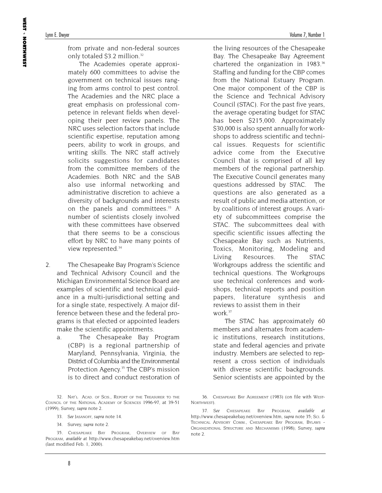from private and non-federal sources only totaled \$3.2 million.<sup>32</sup>

The Academies operate approximately 600 committees to advise the government on technical issues ranging from arms control to pest control. The Academies and the NRC place a great emphasis on professional competence in relevant fields when developing their peer review panels. The NRC uses selection factors that include scientific expertise, reputation among peers, ability to work in groups, and writing skills. The NRC staff actively solicits suggestions for candidates from the committee members of the Academies. Both NRC and the SAB also use informal networking and administrative discretion to achieve a diversity of backgrounds and interests on the panels and committees.<sup>33</sup> A number of scientists closely involved with these committees have observed that there seems to be a conscious effort by NRC to have many points of view represented.<sup>34</sup>

- 2. The Chesapeake Bay Program's Science and Technical Advisory Council and the Michigan Environmental Science Board are examples of scientific and technical guidance in a multi-jurisdictional setting and for a single state, respectively. A major difference between these and the federal programs is that elected or appointed leaders make the scientific appointments.
	- a. The Chesapeake Bay Program (CBP) is a regional partnership of Maryland, Pennsylvania, Virginia, the District of Columbia and the Environmental Protection Agency.<sup>35</sup> The CBP's mission is to direct and conduct restoration of

32. NAT'L ACAD. OF SCIS., REPORT OF THE TREASURER TO THE COUNCIL OF THE NATIONAL ACADEMY OF SCIENCES 1996-97, at 39-51 (1999); Survey, *supra* note 2.

34. Survey, *supra* note 2.

the living resources of the Chesapeake Bay. The Chesapeake Bay Agreement chartered the organization in 1983.<sup>36</sup> Staffing and funding for the CBP comes from the National Estuary Program. One major component of the CBP is the Science and Technical Advisory Council (STAC). For the past five years, the average operating budget for STAC has been \$215,000. Approximately \$30,000 is also spent annually for workshops to address scientific and technical issues. Requests for scientific advice come from the Executive Council that is comprised of all key members of the regional partnership. The Executive Council generates many questions addressed by STAC. The questions are also generated as a result of public and media attention, or by coalitions of interest groups. A variety of subcommittees comprise the STAC. The subcommittees deal with specific scientific issues affecting the Chesapeake Bay such as Nutrients, Toxics, Monitoring, Modeling and Living Resources. The STAC Workgroups address the scientific and technical questions. The Workgroups use technical conferences and workshops, technical reports and position papers, literature synthesis and reviews to assist them in their  $work<sup>37</sup>$ 

The STAC has approximately 60 members and alternates from academic institutions, research institutions, state and federal agencies and private industry. Members are selected to represent a cross section of individuals with diverse scientific backgrounds. Senior scientists are appointed by the

<sup>33.</sup> *See* JASANOFF, *supra* note 14.

<sup>35.</sup> CHESAPEAKE BAY PROGRAM, OVERVIEW OF BAY PROGRAM, *available at* http://www.chesapeakebay.net/overview.htm (last modified Feb. 1, 2000).

<sup>36.</sup> CHESAPEAKE BAY AGREEMENT (1983) (on file with WEST-NORTHWEST).

<sup>37.</sup> *See* CHESAPEAKE BAY PROGRAM, *available at* http://www.chesapeakebay.net/overview.htm, *supra* note 35; SCI. & TECHNICAL ADVISORY COMM., CHESAPEAKE BAY PROGRAM, BYLAWS - ORGANIZATIONAL STRUCTURE AND MECHANISMS (1998); Survey, *supra* note 2.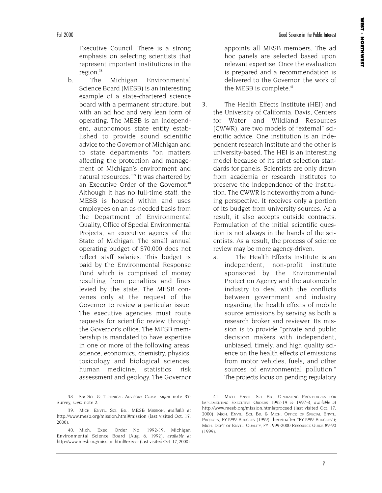Executive Council. There is a strong emphasis on selecting scientists that represent important institutions in the region.<sup>38</sup>

b. The Michigan Environmental Science Board (MESB) is an interesting example of a state-chartered science board with a permanent structure, but with an ad hoc and very lean form of operating. The MESB is an independent, autonomous state entity established to provide sound scientific advice to the Governor of Michigan and to state departments "on matters affecting the protection and management of Michigan's environment and natural resources."39 It was chartered by an Executive Order of the Governor.<sup>40</sup> Although it has no full-time staff, the MESB is housed within and uses employees on an as-needed basis from the Department of Environmental Quality, Office of Special Environmental Projects, an executive agency of the State of Michigan. The small annual operating budget of \$70,000 does not reflect staff salaries. This budget is paid by the Environmental Response Fund which is comprised of money resulting from penalties and fines levied by the state. The MESB convenes only at the request of the Governor to review a particular issue. The executive agencies must route requests for scientific review through the Governor's office. The MESB membership is mandated to have expertise in one or more of the following areas: science, economics, chemistry, physics, toxicology and biological sciences, human medicine, statistics, risk assessment and geology. The Governor

38. *See* SCI. & TECHNICAL ADVISORY COMM, *supra* note 37; Survey, *supra* note 2.

appoints all MESB members. The ad hoc panels are selected based upon relevant expertise. Once the evaluation is prepared and a recommendation is delivered to the Governor, the work of the MESB is complete.<sup>41</sup>

- 3. The Health Effects Institute (HEI) and the University of California, Davis, Centers for Water and Wildland Resources (CWWR), are two models of "external" scientific advice. One institution is an independent research institute and the other is university-based. The HEI is an interesting model because of its strict selection standards for panels. Scientists are only drawn from academia or research institutes to preserve the independence of the institution. The CWWR is noteworthy from a funding perspective. It receives only a portion of its budget from university sources. As a result, it also accepts outside contracts. Formulation of the initial scientific question is not always in the hands of the scientists. As a result, the process of science review may be more agency-driven.
	- a. The Health Effects Institute is an independent, non-profit institute sponsored by the Environmental Protection Agency and the automobile industry to deal with the conflicts between government and industry regarding the health effects of mobile source emissions by serving as both a research broker and reviewer. Its mission is to provide "private and public decision makers with independent, unbiased, timely, and high quality science on the health effects of emissions from motor vehicles, fuels, and other sources of environmental pollution." The projects focus on pending regulatory

<sup>39.</sup> MICH. ENVTL. SCI. BD., MESB MISSION, *available at* http://www.mesb.org/mission.html#mission (last visited Oct. 17, 2000).

<sup>40.</sup> Mich. Exec. Order No. 1992-19, Michigan Environmental Science Board (Aug. 6, 1992), *available at* http://www.mesb.org/mission.html#execor (last visited Oct. 17, 2000).

<sup>41.</sup> MICH. ENVTL. SCI. BD., OPERATING PROCEDURES FOR IMPLEMENTING EXECUTIVE ORDERS 1992-19 & 1997-3, *available at* http://www.mesb.org/mission.html#proceed (last visited Oct. 17, 2000); MICH. ENVTL. SCI. BD. & MICH. OFFICE OF SPECIAL ENVTL. PROJECTS, FY1999 BUDGETS (1999) (hereinafter "FY1999 BUDGETS"); MICH. DEP'T OF ENVTL. QUALITY, FY 1999-2000 RESOURCE GUIDE 89-90 (1999).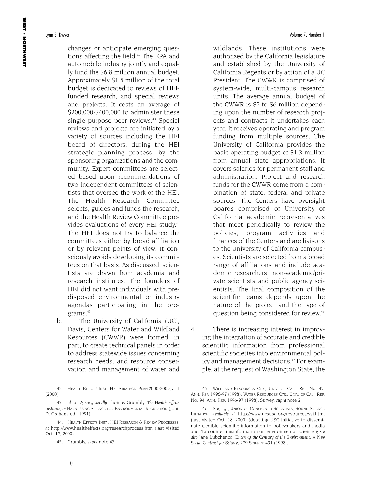changes or anticipate emerging questions affecting the field.<sup>42</sup> The EPA and automobile industry jointly and equally fund the \$6.8 million annual budget. Approximately \$1.5 million of the total budget is dedicated to reviews of HEIfunded research, and special reviews and projects. It costs an average of \$200,000-\$400,000 to administer these single purpose peer reviews.<sup>43</sup> Special reviews and projects are initiated by a variety of sources including the HEI board of directors, during the HEI strategic planning process, by the sponsoring organizations and the community. Expert committees are selected based upon recommendations of two independent committees of scientists that oversee the work of the HEI. The Health Research Committee selects, guides and funds the research, and the Health Review Committee provides evaluations of every HEI study.<sup>44</sup> The HEI does not try to balance the committees either by broad affiliation or by relevant points of view. It consciously avoids developing its committees on that basis. As discussed, scientists are drawn from academia and research institutes. The founders of HEI did not want individuals with predisposed environmental or industry agendas participating in the programs.45

b. The University of California (UC), Davis, Centers for Water and Wildland Resources (CWWR) were formed, in part, to create technical panels in order to address statewide issues concerning research needs, and resource conservation and management of water and

42. HEALTH EFFECTS INST., HEI STRATEGIC PLAN 2000-2005, at 1 (2000).

43. *Id.* at 2; *see generally* Thomas Grumbly, *The Health Effects Institute*, *in* HARNESSING SCIENCE FOR ENVIRONMENTAL REGULATION (John D. Graham, ed., 1991).

44. HEALTH EFFECTS INST., HEI RESEARCH & REVIEW PROCESSES, *at* http://www.healtheffects.org/researchprocess.htm (last visited Oct. 17, 2000).

45. Grumbly, *supra* note 43.

wildlands. These institutions were authorized by the California legislature and established by the University of California Regents or by action of a UC President. The CWWR is comprised of system-wide, multi-campus research units. The average annual budget of the CWWR is \$2 to \$6 million depending upon the number of research projects and contracts it undertakes each year. It receives operating and program funding from multiple sources. The University of California provides the basic operating budget of \$1.3 million from annual state appropriations. It covers salaries for permanent staff and administration. Project and research funds for the CWWR come from a combination of state, federal and private sources. The Centers have oversight boards comprised of University of California academic representatives that meet periodically to review the policies, program activities and finances of the Centers and are liaisons to the University of California campuses. Scientists are selected from a broad range of affiliations and include academic researchers, non-academic/pri-

vate scientists and public agency scientists. The final composition of the scientific teams depends upon the nature of the project and the type of question being considered for review.46

4. There is increasing interest in improving the integration of accurate and credible scientific information from professional scientific societies into environmental policy and management decisions.<sup>47</sup> For example, at the request of Washington State, the

46. WILDLAND RESOURCES CTR., UNIV. OF CAL., REP. NO. 45, ANN. REP. 1996-97 (1998); WATER RESOURCES CTR., UNIV. OF CAL., REP. NO. 94, ANN. REP. 1996-97 (1998); Survey, *supra* note 2.

47. *See, e.g.*, UNION OF CONCERNED SCIENTISTS, SOUND SCIENCE INITIATIVE, *available at* http://www.ucsusa.org/resources/ssi.html (last visited Oct. 18, 2000) (detailing USC initiative to disseminate credible scientific information to policymakers and media and "to counter misinformation on environmental science"); *see also* Jane Lubchenco, *Entering the Century of the Environment: A New Social Contract for Science*, 279 SCIENCE 491 (1998).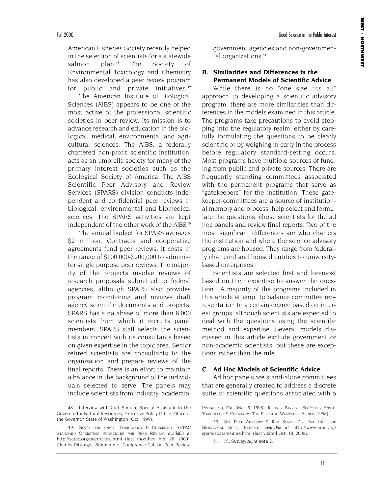American Fisheries Society recently helped in the selection of scientists for a statewide salmon plan.48 The Society of Environmental Toxicology and Chemistry has also developed a peer review program for public and private initiatives.<sup>49</sup>

The American Institute of Biological Sciences (AIBS) appears to be one of the most active of the professional scientific societies in peer review. Its mission is to advance research and education in the biological, medical, environmental and agricultural sciences. The AIBS, a federally chartered non-profit scientific institution, acts as an umbrella society for many of the primary interest societies such as the Ecological Society of America. The AIBS Scientific Peer Advisory and Review Services (SPARS) division conducts independent and confidential peer reviews in biological, environmental and biomedical sciences. The SPARS activities are kept independent of the other work of the AIBS.<sup>50</sup>

The annual budget for SPARS averages \$2 million. Contracts and cooperative agreements fund peer reviews. It costs in the range of \$100,000-\$200,000 to administer single purpose peer reviews. The majority of the projects involve reviews of research proposals submitted to federal agencies, although SPARS also provides program monitoring and reviews draft agency scientific documents and projects. SPARS has a database of more than 8,000 scientists from which it recruits panel members. SPARS staff selects the scientists in concert with its consultants based on given expertise in the topic area. Senior retired scientists are consultants to the organization and prepare reviews of the final reports. There is an effort to maintain a balance in the background of the individuals selected to serve. The panels may include scientists from industry, academia,

government agencies and non-governmental organizations.<sup>51</sup>

#### **B. Similarities and Differences in the Permanent Models of Scientific Advice**

While there is no "one size fits all" approach to developing a scientific advisory program, there are more similarities than differences in the models examined in this article. The programs take precautions to avoid stepping into the regulatory realm, either by carefully formulating the questions to be clearly scientific or by weighing in early in the process before regulatory standard-setting occurs. Most programs have multiple sources of funding from public and private sources. There are frequently standing committees associated with the permanent programs that serve as "gatekeepers" for the institution. These gatekeeper committees are a source of institutional memory and process, help select and formulate the questions, chose scientists for the ad hoc panels and review final reports. Two of the most significant differences are who charters the institution and where the science advisory programs are housed. They range from federally chartered and housed entities to universitybased enterprises.

Scientists are selected first and foremost based on their expertise to answer the question. A majority of the programs included in this article attempt to balance committee representation to a certain degree based on interest groups, although scientists are expected to deal with the questions using the scientific method and expertise. Several models discussed in this article exclude government or non-academic scientists, but these are exceptions rather than the rule.

#### **C. Ad Hoc Models of Scientific Advice**

Ad hoc panels are stand-alone committees that are generally created to address a discrete suite of scientific questions associated with a

51. *Id*.; Survey, *supra* note 2.

<sup>48.</sup> Interview with Curt Smitch, Special Assistant to the Governor for Natural Resources, Executive Policy Office, Office of the Governor, State of Washington (Oct. 1999).

<sup>49.</sup> SOC'Y FOR ENVTL. TOXICOLOGY & CHEMISTRY, SETAC STANDARD OPERATING PROCEDURE FOR PEER REVIEW, *available at* http://setac.org/peerreview.html (last modified Apr. 20, 2000); Charles Pittenger, Summary of Conference Call on Peer Review,

Pensacola, Fla. (Mar. 9, 1998); RODNEY PARRISH, SOC'Y FOR ENVTL. TOXICOLOGY & CHEMISTRY, THE PELLSTON WORKSHOP SERIES (1998).

<sup>50.</sup> SCI. PEER ADVISORY & REV. SERVS. DIV., AM. INST. FOR BIOLOGICAL SCIS., RESUME, *available at* http://www.aibs.org/ spars/sparsresume.html (last visited Oct. 18, 2000).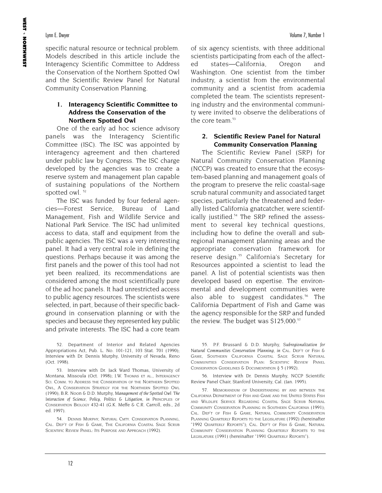specific natural resource or technical problem. Models described in this article include the Interagency Scientific Committee to Address the Conservation of the Northern Spotted Owl and the Scientific Review Panel for Natural Community Conservation Planning.

#### **1. Interagency Scientific Committee to Address the Conservation of the Northern Spotted Owl**

One of the early ad hoc science advisory panels was the Interagency Scientific Committee (ISC). The ISC was appointed by interagency agreement and then chartered under public law by Congress. The ISC charge developed by the agencies was to create a reserve system and management plan capable of sustaining populations of the Northern spotted owl.<sup>52</sup>

The ISC was funded by four federal agencies—Forest Service, Bureau of Land Management, Fish and Wildlife Service and National Park Service. The ISC had unlimited access to data, staff and equipment from the public agencies. The ISC was a very interesting panel. It had a very central role in defining the questions. Perhaps because it was among the first panels and the power of this tool had not yet been realized, its recommendations are considered among the most scientifically pure of the ad hoc panels. It had unrestricted access to public agency resources. The scientists were selected, in part, because of their specific background in conservation planning or with the species and because they represented key public and private interests. The ISC had a core team

53. Interview with Dr. Jack Ward Thomas, University of Montana, Missoula (Oct. 1998); J.W. THOMAS ET AL., INTERAGENCY SCI. COMM. TO ADDRESS THE CONSERVATION OF THE NORTHERN SPOTTED OWL, A CONSERVATION STRATEGY FOR THE NORTHERN SPOTTED OWL (1990); B.R. Noon & D.D. Murphy, *Management of the Spotted Owl: The Interaction of Science, Policy, Politics & Litigation*, *in* PRINCIPLES OF CONSERVATION BIOLOGY 432-41 (G.K. Meffe & C.R. Carroll, eds., 2d ed. 1997).

54. DENNIS MURPHY, NATURAL CMTY. CONSERVATION PLANNING, CAL. DEP'T OF FISH & GAME, THE CALIFORNIA COASTAL SAGE SCRUB SCIENTIFIC REVIEW PANEL: ITS PURPOSE AND APPROACH (1992).

of six agency scientists, with three additional scientists participating from each of the affected states—California, Oregon and Washington. One scientist from the timber industry, a scientist from the environmental community and a scientist from academia completed the team. The scientists representing industry and the environmental community were invited to observe the deliberations of the core team.<sup>53</sup>

#### **2. Scientific Review Panel for Natural Community Conservation Planning**

The Scientific Review Panel (SRP) for Natural Community Conservation Planning (NCCP) was created to ensure that the ecosystem-based planning and management goals of the program to preserve the relic coastal-sage scrub natural community and associated target species, particularly the threatened and federally listed California gnatcatcher, were scientifically justified.<sup>54</sup> The SRP refined the assessment to several key technical questions, including how to define the overall and subregional management planning areas and the appropriate conservation framework for reserve design.<sup>55</sup> California's Secretary for Resources appointed a scientist to lead the panel. A list of potential scientists was then developed based on expertise. The environmental and development communities were also able to suggest candidates.<sup>56</sup> The California Department of Fish and Game was the agency responsible for the SRP and funded the review. The budget was \$125,000.<sup>57</sup>

55. P.F. Brussard & D.D. Murphy, *Subregionalization for Natural Communities Conservation Planning, in* CAL. DEP'T OF FISH & GAME, SOUTHERN CALIFORNIA COASTAL SAGE SCRUB NATURAL COMMUNITIES CONSERVATION PLAN: SCIENTIFIC REVIEW PANEL CONSERVATION GUIDELINES & DOCUMENTATION § 5 (1992).

56. Interview with Dr. Dennis Murphy, NCCP Scientific Review Panel Chair, Stanford University, Cal. (Jan. 1995).

57. MEMORANDUM OF UNDERSTANDING BY AND BETWEEN THE CALIFORNIA DEPARTMENT OF FISH AND GAME AND THE UNITED STATES FISH AND WILDLIFE SERVICE REGARDING COASTAL SAGE SCRUB NATURAL COMMUNITY CONSERVATION PLANNING IN SOUTHERN CALIFORNIA (1991); CAL. DEP'T OF FISH & GAME, NATURAL COMMUNITY CONSERVATION PLANNING QUARTERLY REPORTS TO THE LEGISLATURE (1992) (hereinafter "1992 QUARTERLY REPORTS"); CAL. DEP'T OF FISH & GAME, NATURAL COMMUNITY CONSERVATION PLANNING QUARTERLY REPORTS TO THE LEGISLATURE (1991) (hereinafter "1991 QUARTERLY REPORTS").

<sup>52.</sup> Department of Interior and Related Agencies Appropriations Act, Pub. L. No. 101-121, 103 Stat. 701 (1990); Interview with Dr. Dennis Murphy, University of Nevada, Reno (Oct. 1998).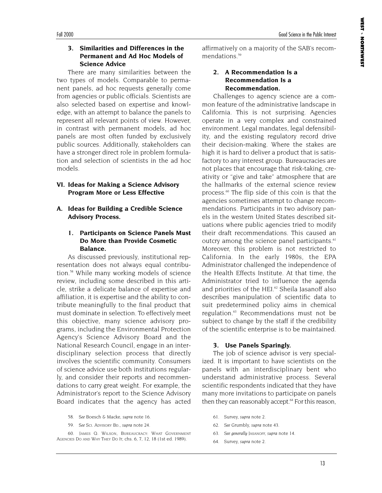#### **3. Similarities and Differences in the Permanent and Ad Hoc Models of Science Advice**

There are many similarities between the two types of models. Comparable to permanent panels, ad hoc requests generally come from agencies or public officials. Scientists are also selected based on expertise and knowledge, with an attempt to balance the panels to represent all relevant points of view. However, in contrast with permanent models, ad hoc panels are most often funded by exclusively public sources. Additionally, stakeholders can have a stronger direct role in problem formulation and selection of scientists in the ad hoc models.

#### **VI. Ideas for Making a Science Advisory Program More or Less Effective**

#### **A. Ideas for Building a Credible Science Advisory Process.**

#### **1. Participants on Science Panels Must Do More than Provide Cosmetic Balance.**

As discussed previously, institutional representation does not always equal contribution.58 While many working models of science review, including some described in this article, strike a delicate balance of expertise and affiliation, it is expertise and the ability to contribute meaningfully to the final product that must dominate in selection. To effectively meet this objective, many science advisory programs, including the Environmental Protection Agency's Science Advisory Board and the National Research Council, engage in an interdisciplinary selection process that directly involves the scientific community. Consumers of science advice use both institutions regularly, and consider their reports and recommendations to carry great weight. For example, the Administrator's report to the Science Advisory Board indicates that the agency has acted

- 58. *See* Boesch & Macke, *supra* note 16.
- 59. *See* SCI. ADVISORY BD., *supra* note 24.

60. JAMES Q. WILSON, BUREAUCRACY: WHAT GOVERNMENT AGENCIES DO AND WHY THEY DO IT, chs. 6, 7, 12, 18 (1st ed. 1989).

affirmatively on a majority of the SAB's recommendations<sup>59</sup>

#### **2. A Recommendation Is a Recommendation Is a Recommendation.**

Challenges to agency science are a common feature of the administrative landscape in California. This is not surprising. Agencies operate in a very complex and constrained environment. Legal mandates, legal defensibility, and the existing regulatory record drive their decision-making. Where the stakes are high it is hard to deliver a product that is satisfactory to any interest group. Bureaucracies are not places that encourage that risk-taking, creativity or "give and take" atmosphere that are the hallmarks of the external science review process.<sup>60</sup> The flip side of this coin is that the agencies sometimes attempt to change recommendations. Participants in two advisory panels in the western United States described situations where public agencies tried to modify their draft recommendations. This caused an outcry among the science panel participants.<sup>61</sup> Moreover, this problem is not restricted to California. In the early 1980s, the EPA Administrator challenged the independence of the Health Effects Institute. At that time, the Administrator tried to influence the agenda and priorities of the HEI.<sup>62</sup> Sheila Jasanoff also describes manipulation of scientific data to suit predetermined policy aims in chemical regulation.<sup>63</sup> Recommendations must not be subject to change by the staff if the credibility of the scientific enterprise is to be maintained.

#### **3. Use Panels Sparingly.**

The job of science advisor is very specialized. It is important to have scientists on the panels with an interdisciplinary bent who understand administrative process. Several scientific respondents indicated that they have many more invitations to participate on panels then they can reasonably accept.<sup>64</sup> For this reason,

- 61. Survey, *supra* note 2.
- 62. *See* Grumbly, *supra* note 43.
- 63. *See generally* JASANOFF, *supra* note 14.
- 64. Survey, *supra* note 2.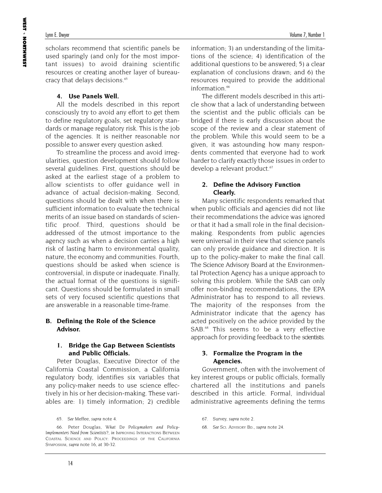scholars recommend that scientific panels be used sparingly (and only for the most important issues) to avoid draining scientific resources or creating another layer of bureaucracy that delays decisions.<sup>65</sup>

#### **4. Use Panels Well.**

All the models described in this report consciously try to avoid any effort to get them to define regulatory goals, set regulatory standards or manage regulatory risk. This is the job of the agencies. It is neither reasonable nor possible to answer every question asked.

To streamline the process and avoid irregularities, question development should follow several guidelines. First, questions should be asked at the earliest stage of a problem to allow scientists to offer guidance well in advance of actual decision-making. Second, questions should be dealt with when there is sufficient information to evaluate the technical merits of an issue based on standards of scientific proof. Third, questions should be addressed of the utmost importance to the agency such as when a decision carries a high risk of lasting harm to environmental quality, nature, the economy and communities. Fourth, questions should be asked when science is controversial, in dispute or inadequate. Finally, the actual format of the questions is significant. Questions should be formulated in small sets of very focused scientific questions that are answerable in a reasonable time-frame.

#### **B. Defining the Role of the Science Advisor.**

#### **1. Bridge the Gap Between Scientists and Public Officials.**

Peter Douglas, Executive Director of the California Coastal Commission, a California regulatory body, identifies six variables that any policy-maker needs to use science effectively in his or her decision-making. These variables are: 1) timely information; 2) credible information; 3) an understanding of the limitations of the science; 4) identification of the additional questions to be answered; 5) a clear explanation of conclusions drawn; and 6) the resources required to provide the additional information.<sup>66</sup>

The different models described in this article show that a lack of understanding between the scientist and the public officials can be bridged if there is early discussion about the scope of the review and a clear statement of the problem. While this would seem to be a given, it was astounding how many respondents commented that everyone had to work harder to clarify exactly those issues in order to develop a relevant product.<sup>67</sup>

#### **2. Define the Advisory Function Clearly.**

Many scientific respondents remarked that when public officials and agencies did not like their recommendations the advice was ignored or that it had a small role in the final decisionmaking. Respondents from public agencies were universal in their view that science panels can only provide guidance and direction. It is up to the policy-maker to make the final call. The Science Advisory Board at the Environmental Protection Agency has a unique approach to solving this problem. While the SAB can only offer non-binding recommendations, the EPA Administrator has to respond to all reviews. The majority of the responses from the Administrator indicate that the agency has acted positively on the advice provided by the SAB<sup>.68</sup> This seems to be a very effective approach for providing feedback to the scientists.

#### **3. Formalize the Program in the Agencies.**

Government, often with the involvement of key interest groups or public officials, formally chartered all the institutions and panels described in this article. Formal, individual administrative agreements defining the terms

68. *See* SCI. ADVISORY BD., *supra* note 24.

<sup>65.</sup> *See* Meffee, *supra* note 4.

<sup>66.</sup> Peter Douglas, *What Do Policymakers and Policy-Implementers Need from Scientists?*, *in* IMPROVING INTERACTIONS BETWEEN COASTAL SCIENCE AND POLICY: PROCEEDINGS OF THE CALIFORNIA SYMPOSIUM, *supra* note 16, at 30-32.

<sup>67.</sup> Survey, *supra* note 2.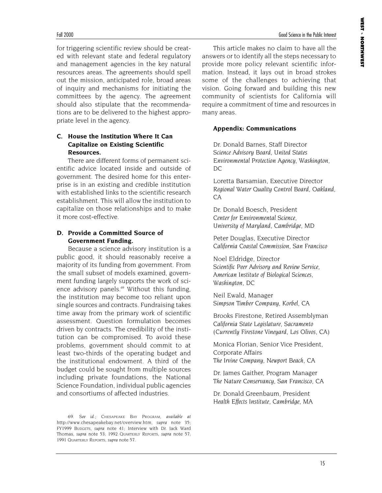for triggering scientific review should be created with relevant state and federal regulatory and management agencies in the key natural resources areas. The agreements should spell out the mission, anticipated role, broad areas of inquiry and mechanisms for initiating the committees by the agency. The agreement should also stipulate that the recommendations are to be delivered to the highest appropriate level in the agency.

#### **C. House the Institution Where It Can Capitalize on Existing Scientific Resources.**

There are different forms of permanent scientific advice located inside and outside of government. The desired home for this enterprise is in an existing and credible institution with established links to the scientific research establishment. This will allow the institution to capitalize on those relationships and to make it more cost-effective.

#### **D. Provide a Committed Source of Government Funding.**

Because a science advisory institution is a public good, it should reasonably receive a majority of its funding from government. From the small subset of models examined, government funding largely supports the work of science advisory panels.<sup>69</sup> Without this funding, the institution may become too reliant upon single sources and contracts. Fundraising takes time away from the primary work of scientific assessment. Question formulation becomes driven by contracts. The credibility of the institution can be compromised. To avoid these problems, government should commit to at least two-thirds of the operating budget and the institutional endowment. A third of the budget could be sought from multiple sources including private foundations, the National Science Foundation, individual public agencies and consortiums of affected industries.

This article makes no claim to have all the answers or to identify all the steps necessary to provide more policy relevant scientific information. Instead, it lays out in broad strokes some of the challenges to achieving that vision. Going forward and building this new community of scientists for California will require a commitment of time and resources in many areas.

#### **Appendix: Communications**

Dr. Donald Barnes, Staff Director *Science Advisory Board, United States Environmental Protection Agency, Washington, DC*

Loretta Barsamian, Executive Director *Regional Water Quality Control Board, Oakland, CA*

Dr. Donald Boesch, President *Center for Environmental Science, University of Maryland, Cambridge, MD*

Peter Douglas, Executive Director *California Coastal Commission, San Francisco*

Noel Eldridge, Director *Scientific Peer Advisory and Review Service, American Institute of Biological Sciences, Washington, DC* 

Neil Ewald, Manager *Simpson Timber Company, Korbel, CA*

Brooks Firestone, Retired Assemblyman *California State Legislature, Sacramento (Currently Firestone Vineyard, Los Olivos, CA)*

Monica Florian, Senior Vice President, Corporate Affairs *The Irvine Company, Newport Beach, CA*

Dr. James Gaither, Program Manager *The Nature Conservancy, San Francisco,* CA

Dr. Donald Greenbaum, President *Health Effects Institute, Cambridge, MA*

<sup>69.</sup> *See id*.; CHESAPEAKE BAY PROGRAM, *available at* http://www.chesapeakebay.net/overview.htm, *supra* note 35; FY1999 BUDGETS, *supra* note 41; Interview with Dr. Jack Ward Thomas, *supra* note 53; 1992 QUARTERLY REPORTS, *supra* note 57; 1991 QUARTERLY REPORTS, *supra* note 57.